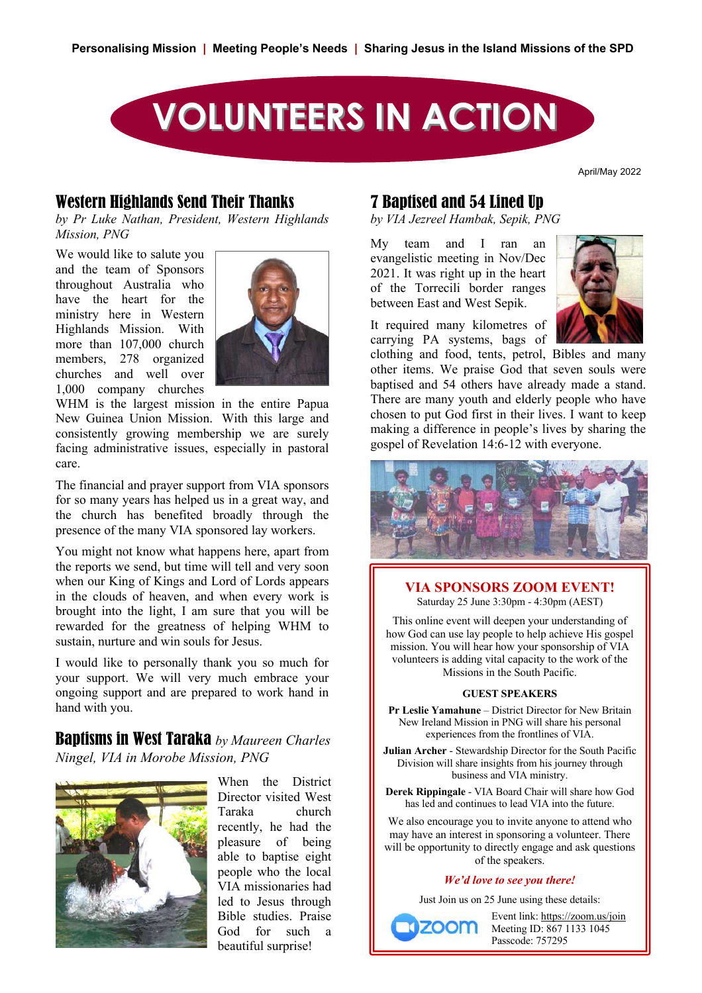

April/May 2022

#### Western Highlands Send Their Thanks

by Pr Luke Nathan, President, Western Highlands *Mission, PNG*  $\frac{1}{2}$ 

We would like to salute you and the team of Sponsors throughout Australia who have the heart for the **Rippingale visited PNG** in July 1999 ministry here in Western Highlands Mission. With more than  $107,000$  church  $\sim$ members,  $278$  organized  $\blacksquare$ churches and well over 1,000 company churches s and well over



WHM is the largest mission in the entire Papua New Guinea Union Mission. With this large and consistently growing membership we are surely facing administrative issues, especially in pastoral care.

The financial and prayer support from VIA sponsors for so many years has helped us in a great way, and the church has benefited broadly through the presence of the many VIA sponsored lay workers.  $\sum_{i=1}^{n}$ 

You might not know what happens here, apart from the reports we send, but time will tell and very soon when our King of Kings and Lord of Lords appears  $\blacksquare$ in the clouds of heaven, and when every work is brought into the light, I am sure that you will be rewarded for the greatness of helping WHM to  $\|\cdot\|$ sustain, nurture and win souls for Jesus.

I would like to personally thank you so much for  $\frac{1}{2}$  would like to personally them  $\frac{1}{2}$  or  $\frac{1}{2}$  be mathematically very much embrace your  $\frac{1}{2}$  ongoing support and are prepared to work hand in hand with you.  $\frac{1}{\sqrt{2}}$ Eastern Highlands, PNG 290 45 6.4

**Baptisms in West Taraka** by Maureen Charles **No. 1.596 108 596 108 5**.586 **108 5.596 108 5.596 108 5.596 108 5.596 108 5.596 108 5.596 108 5.596 108 5.596 108 5.596 108 5.596 108 5.596 108 5.596 108 5.596 108 5.596 108 5.** *Ningel, VIA in Morobe Mission, PNG*  $\mathbf{B}$  in west futural by matricen Charles  $\begin{bmatrix} 1 \\ 1 \end{bmatrix}$ 



 $\blacksquare$  When the District  $\blacksquare$ Director visited West Taraka church recently, he had the pleasure of being able to baptise eight people who the local VIA missionaries had led to Jesus through Bible studies. Praise God for such a beautiful surprise! TOTAL ( for 12 months) **2798 391 7.2**

### 7 Baptised and 54 Lined Up

by *VIA Jezreel Hambak, Sepik, PNG* 

My team and I ran an  $\int$ evangelistic meeting in Nov/Dec  $2021$ . It was right up in the heart  $\frac{1}{2021}$ . It was highly up in the healt between East and West Sepik. of the Torrectiff border ranges

It required many kilometres of carrying PA systems, bags of



clothing and food, tents, petrol, Bibles and many other items. We praise God that seven souls were baptised and 54 others have already made a stand. There are many youth and elderly people who have gest mission in the entire rapid and the chosen to put God first in their lives. I want to keep construction with this large and chosen to put God first in their lives. I want to keep making a difference in people's lives by sharing the gospel of Revelation 14:6-12 with everyone.



#### **VIA SPONSORS ZOOM EVENT!** ĂƉƟƐŵƐ ƉĞƌ

Saturday 25 June 3:30pm - 4:30pm (AEST)

This online event will deepen your understanding of how God can use lay people to help achieve His gospel mission. You will hear how your sponsorship of VIA volunteers is adding vital capacity to the work of the Missions in the South Pacific. volunteer

#### **GUEST SPEAKERS**

**Pr Leslie Yamahune** – District Director for New Britain **Eastern Highland Branch Brocket for New Branch**<br>New Ireland Mission in PNG will share his personal experiences from the frontlines of VIA.

**Julian Archer** - Stewardship Director for the South Pacific Division will share insights from his journey through business and VIA ministry.

**Derek Rippingale** - VIA Board Chair will share how God has led and continues to lead VIA into the future.

We also encourage you to invite anyone to attend who may have an interest in sponsoring a volunteer. There will be opportunity to directly engage and ask questions of the speakers.

#### *We'd love to see you there!*

Just Join us on 25 June using these details:

 Event link: https://zoom.us/join Meeting ID: 867 1133 1045 Passcode: 757295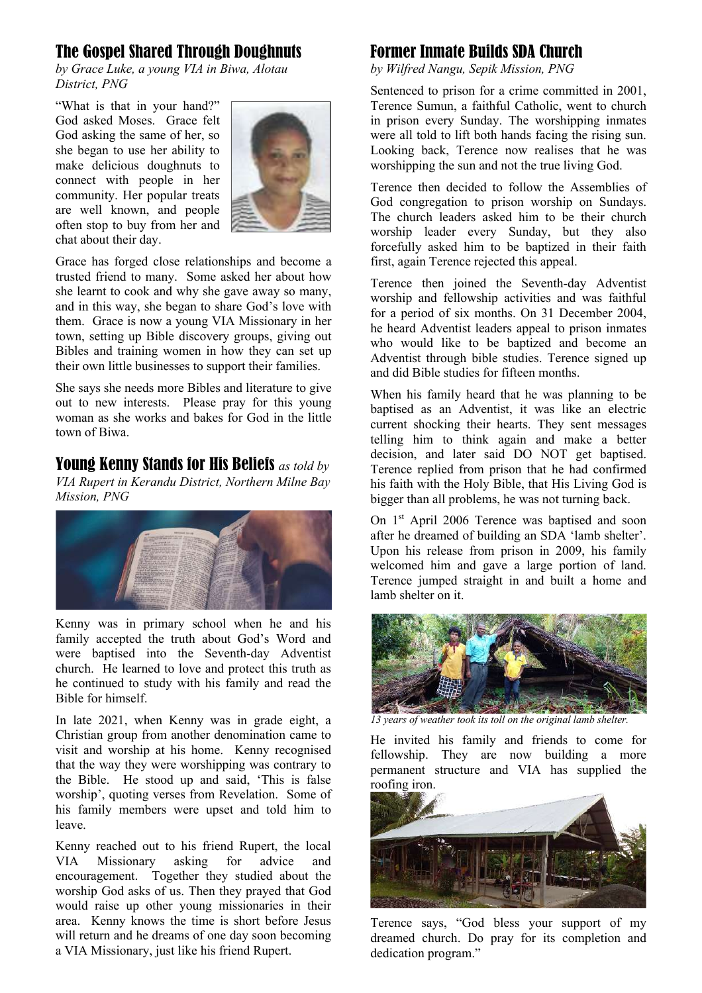# The Gospel Shared Through Doughnuts

*by Grace Luke, a young VIA in Biwa, Alotau District, PNG*

"What is that in your hand?" God asked Moses. Grace felt God asking the same of her, so she began to use her ability to make delicious doughnuts to connect with people in her community. Her popular treats are well known, and people often stop to buy from her and chat about their day.



Grace has forged close relationships and become a trusted friend to many. Some asked her about how she learnt to cook and why she gave away so many, and in this way, she began to share God's love with them. Grace is now a young VIA Missionary in her town, setting up Bible discovery groups, giving out Bibles and training women in how they can set up their own little businesses to support their families.

She says she needs more Bibles and literature to give out to new interests. Please pray for this young woman as she works and bakes for God in the little town of Biwa.

Young Kenny Stands for His Beliefs *as told by VIA Rupert in Kerandu District, Northern Milne Bay Mission, PNG*



Kenny was in primary school when he and his family accepted the truth about God's Word and were baptised into the Seventh-day Adventist church. He learned to love and protect this truth as he continued to study with his family and read the Bible for himself.

In late 2021, when Kenny was in grade eight, a Christian group from another denomination came to visit and worship at his home. Kenny recognised that the way they were worshipping was contrary to the Bible. He stood up and said, 'This is false worship', quoting verses from Revelation. Some of his family members were upset and told him to leave.

Kenny reached out to his friend Rupert, the local VIA Missionary asking for advice and encouragement. Together they studied about the worship God asks of us. Then they prayed that God would raise up other young missionaries in their area. Kenny knows the time is short before Jesus will return and he dreams of one day soon becoming a VIA Missionary, just like his friend Rupert.

# Former Inmate Builds SDA Church

*by Wilfred Nangu, Sepik Mission, PNG*

Sentenced to prison for a crime committed in 2001, Terence Sumun, a faithful Catholic, went to church in prison every Sunday. The worshipping inmates were all told to lift both hands facing the rising sun. Looking back, Terence now realises that he was worshipping the sun and not the true living God.

Terence then decided to follow the Assemblies of God congregation to prison worship on Sundays. The church leaders asked him to be their church worship leader every Sunday, but they also forcefully asked him to be baptized in their faith first, again Terence rejected this appeal.

Terence then joined the Seventh-day Adventist worship and fellowship activities and was faithful for a period of six months. On 31 December 2004, he heard Adventist leaders appeal to prison inmates who would like to be baptized and become an Adventist through bible studies. Terence signed up and did Bible studies for fifteen months.

When his family heard that he was planning to be baptised as an Adventist, it was like an electric current shocking their hearts. They sent messages telling him to think again and make a better decision, and later said DO NOT get baptised. Terence replied from prison that he had confirmed his faith with the Holy Bible, that His Living God is bigger than all problems, he was not turning back.

On 1<sup>st</sup> April 2006 Terence was baptised and soon after he dreamed of building an SDA 'lamb shelter'. Upon his release from prison in 2009, his family welcomed him and gave a large portion of land. Terence jumped straight in and built a home and lamb shelter on it.



*13 years of weather took its toll on the original lamb shelter.*

He invited his family and friends to come for fellowship. They are now building a more permanent structure and VIA has supplied the roofing iron.



Terence says, "God bless your support of my dreamed church. Do pray for its completion and dedication program."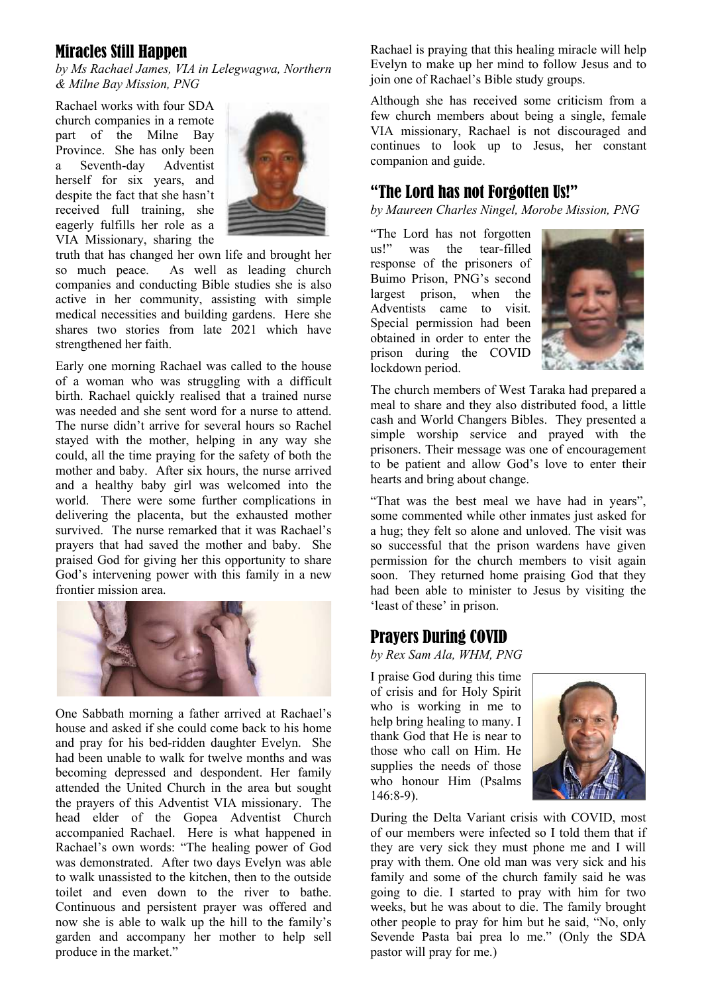### Miracles Still Happen

*by Ms Rachael James, VIA in Lelegwagwa, Northern & Milne Bay Mission, PNG* 

Rachael works with four SDA church companies in a remote part of the Milne Bay Province. She has only been a Seventh-day Adventist herself for six years, and despite the fact that she hasn't received full training, she eagerly fulfills her role as a VIA Missionary, sharing the



truth that has changed her own life and brought her so much peace. As well as leading church companies and conducting Bible studies she is also active in her community, assisting with simple medical necessities and building gardens. Here she shares two stories from late 2021 which have strengthened her faith.

Early one morning Rachael was called to the house of a woman who was struggling with a difficult birth. Rachael quickly realised that a trained nurse was needed and she sent word for a nurse to attend. The nurse didn't arrive for several hours so Rachel stayed with the mother, helping in any way she could, all the time praying for the safety of both the mother and baby. After six hours, the nurse arrived and a healthy baby girl was welcomed into the world. There were some further complications in delivering the placenta, but the exhausted mother survived. The nurse remarked that it was Rachael's prayers that had saved the mother and baby. She praised God for giving her this opportunity to share God's intervening power with this family in a new frontier mission area.



One Sabbath morning a father arrived at Rachael's house and asked if she could come back to his home and pray for his bed-ridden daughter Evelyn. She had been unable to walk for twelve months and was becoming depressed and despondent. Her family attended the United Church in the area but sought the prayers of this Adventist VIA missionary. The head elder of the Gopea Adventist Church accompanied Rachael. Here is what happened in Rachael's own words: "The healing power of God was demonstrated. After two days Evelyn was able to walk unassisted to the kitchen, then to the outside toilet and even down to the river to bathe. Continuous and persistent prayer was offered and now she is able to walk up the hill to the family's garden and accompany her mother to help sell produce in the market."

Rachael is praying that this healing miracle will help Evelyn to make up her mind to follow Jesus and to join one of Rachael's Bible study groups.

Although she has received some criticism from a few church members about being a single, female VIA missionary, Rachael is not discouraged and continues to look up to Jesus, her constant companion and guide.

### "The Lord has not Forgotten Us!"

*by Maureen Charles Ningel, Morobe Mission, PNG*

"The Lord has not forgotten us!" was the tear-filled response of the prisoners of Buimo Prison, PNG's second largest prison, when the Adventists came to visit. Special permission had been obtained in order to enter the prison during the COVID lockdown period.



The church members of West Taraka had prepared a meal to share and they also distributed food, a little cash and World Changers Bibles. They presented a simple worship service and prayed with the prisoners. Their message was one of encouragement to be patient and allow God's love to enter their hearts and bring about change.

"That was the best meal we have had in years", some commented while other inmates just asked for a hug; they felt so alone and unloved. The visit was so successful that the prison wardens have given permission for the church members to visit again soon. They returned home praising God that they had been able to minister to Jesus by visiting the 'least of these' in prison.

### Prayers During COVID

*by Rex Sam Ala, WHM, PNG*

I praise God during this time of crisis and for Holy Spirit who is working in me to help bring healing to many. I thank God that He is near to those who call on Him. He supplies the needs of those who honour Him (Psalms 146:8-9).



During the Delta Variant crisis with COVID, most of our members were infected so I told them that if they are very sick they must phone me and I will pray with them. One old man was very sick and his family and some of the church family said he was going to die. I started to pray with him for two weeks, but he was about to die. The family brought other people to pray for him but he said, "No, only Sevende Pasta bai prea lo me." (Only the SDA pastor will pray for me.)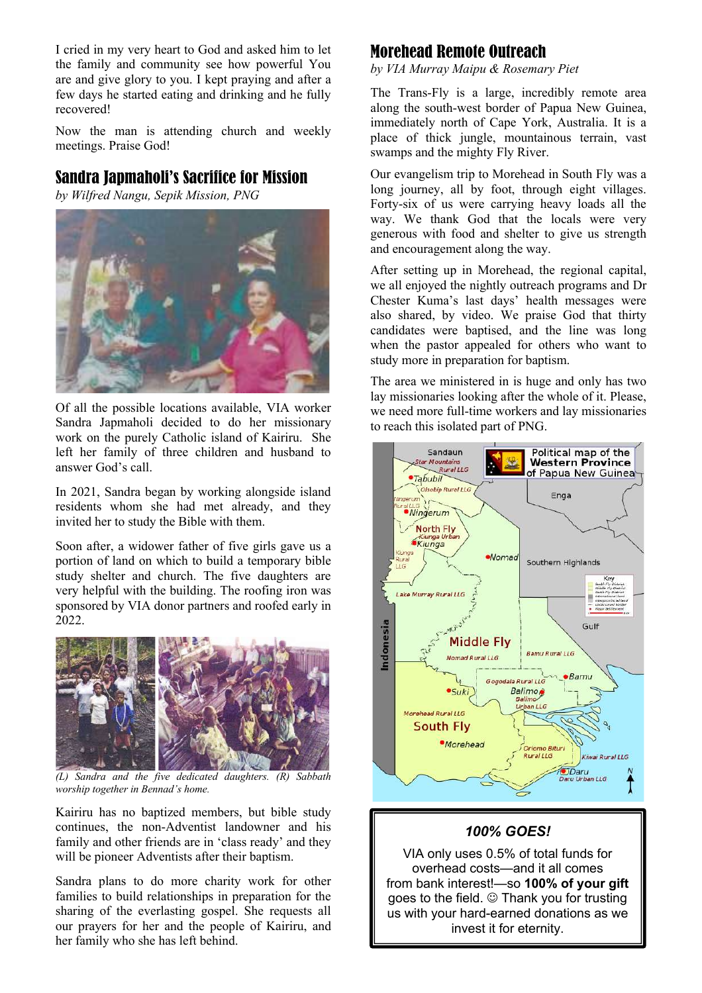I cried in my very heart to God and asked him to let the family and community see how powerful You are and give glory to you. I kept praying and after a few days he started eating and drinking and he fully recovered!

Now the man is attending church and weekly meetings. Praise God!

### Sandra Japmaholi's Sacrifice for Mission

*by Wilfred Nangu, Sepik Mission, PNG*



Of all the possible locations available, VIA worker Sandra Japmaholi decided to do her missionary work on the purely Catholic island of Kairiru. She left her family of three children and husband to answer God's call.

In 2021, Sandra began by working alongside island residents whom she had met already, and they invited her to study the Bible with them.

Soon after, a widower father of five girls gave us a portion of land on which to build a temporary bible study shelter and church. The five daughters are very helpful with the building. The roofing iron was sponsored by VIA donor partners and roofed early in 2022.



*(L) Sandra and the five dedicated daughters. (R) Sabbath worship together in Bennad's home.*

Kairiru has no baptized members, but bible study continues, the non-Adventist landowner and his family and other friends are in 'class ready' and they will be pioneer Adventists after their baptism.

Sandra plans to do more charity work for other families to build relationships in preparation for the sharing of the everlasting gospel. She requests all our prayers for her and the people of Kairiru, and her family who she has left behind.

### Morehead Remote Outreach

*by VIA Murray Maipu & Rosemary Piet*

The Trans-Fly is a large, incredibly remote area along the south-west border of Papua New Guinea, immediately north of Cape York, Australia. It is a place of thick jungle, mountainous terrain, vast swamps and the mighty Fly River.

Our evangelism trip to Morehead in South Fly was a long journey, all by foot, through eight villages. Forty-six of us were carrying heavy loads all the way. We thank God that the locals were very generous with food and shelter to give us strength and encouragement along the way.

After setting up in Morehead, the regional capital, we all enjoyed the nightly outreach programs and Dr Chester Kuma's last days' health messages were also shared, by video. We praise God that thirty candidates were baptised, and the line was long when the pastor appealed for others who want to study more in preparation for baptism.

The area we ministered in is huge and only has two lay missionaries looking after the whole of it. Please, we need more full-time workers and lay missionaries to reach this isolated part of PNG.



#### *100% GOES!*

VIA only uses 0.5% of total funds for overhead costs—and it all comes from bank interest!—so **100% of your gift**  goes to the field.  $\odot$  Thank you for trusting us with your hard-earned donations as we invest it for eternity.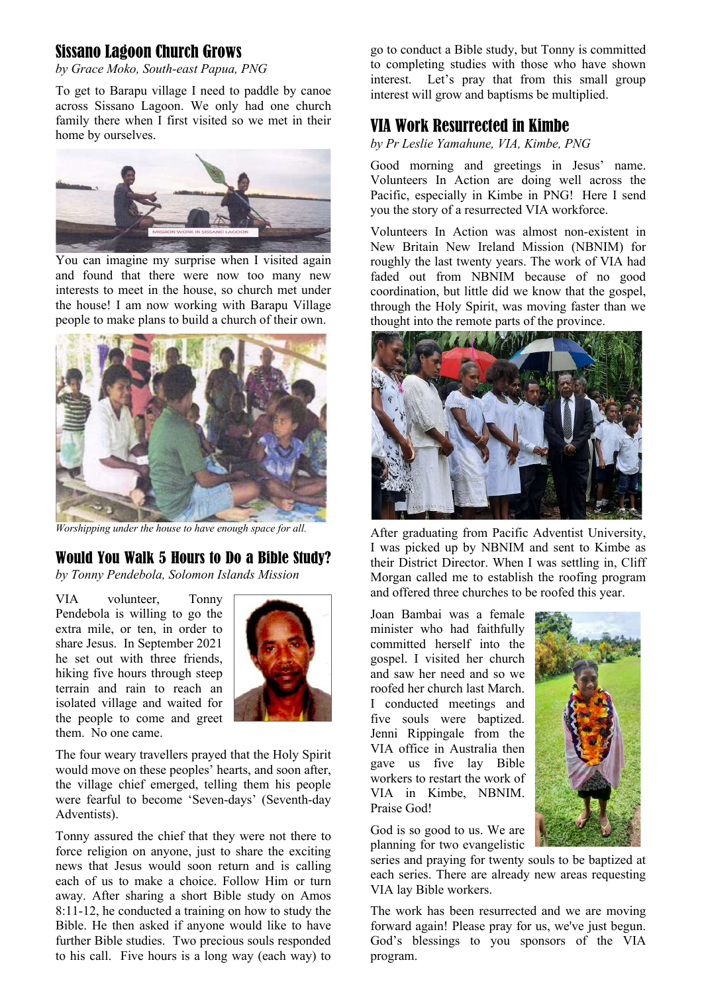## Sissano Lagoon Church Grows

*by Grace Moko, South-east Papua, PNG*

To get to Barapu village I need to paddle by canoe across Sissano Lagoon. We only had one church family there when I first visited so we met in their home by ourselves.



You can imagine my surprise when I visited again and found that there were now too many new interests to meet in the house, so church met under the house! I am now working with Barapu Village people to make plans to build a church of their own.



*Worshipping under the house to have enough space for all.*

### Would You Walk 5 Hours to Do a Bible Study?

*by Tonny Pendebola, Solomon Islands Mission*

VIA volunteer, Tonny Pendebola is willing to go the extra mile, or ten, in order to share Jesus. In September 2021 he set out with three friends, hiking five hours through steep terrain and rain to reach an isolated village and waited for the people to come and greet them. No one came.



The four weary travellers prayed that the Holy Spirit would move on these peoples' hearts, and soon after, the village chief emerged, telling them his people were fearful to become 'Seven-days' (Seventh-day Adventists).

Tonny assured the chief that they were not there to force religion on anyone, just to share the exciting news that Jesus would soon return and is calling each of us to make a choice. Follow Him or turn away. After sharing a short Bible study on Amos 8:11-12, he conducted a training on how to study the Bible. He then asked if anyone would like to have further Bible studies. Two precious souls responded to his call. Five hours is a long way (each way) to

go to conduct a Bible study, but Tonny is committed to completing studies with those who have shown interest. Let's pray that from this small group interest will grow and baptisms be multiplied.

### VIA Work Resurrected in Kimbe

*by Pr Leslie Yamahune, VIA, Kimbe, PNG*

Good morning and greetings in Jesus' name. Volunteers In Action are doing well across the Pacific, especially in Kimbe in PNG! Here I send you the story of a resurrected VIA workforce.

Volunteers In Action was almost non-existent in New Britain New Ireland Mission (NBNIM) for roughly the last twenty years. The work of VIA had faded out from NBNIM because of no good coordination, but little did we know that the gospel, through the Holy Spirit, was moving faster than we thought into the remote parts of the province.



After graduating from Pacific Adventist University, I was picked up by NBNIM and sent to Kimbe as their District Director. When I was settling in, Cliff Morgan called me to establish the roofing program and offered three churches to be roofed this year.

Joan Bambai was a female minister who had faithfully committed herself into the gospel. I visited her church and saw her need and so we roofed her church last March. I conducted meetings and five souls were baptized. Jenni Rippingale from the VIA office in Australia then gave us five lay Bible workers to restart the work of VIA in Kimbe, NBNIM. Praise God!

God is so good to us. We are planning for two evangelistic

series and praying for twenty souls to be baptized at each series. There are already new areas requesting VIA lay Bible workers.

The work has been resurrected and we are moving forward again! Please pray for us, we've just begun. God's blessings to you sponsors of the VIA program.